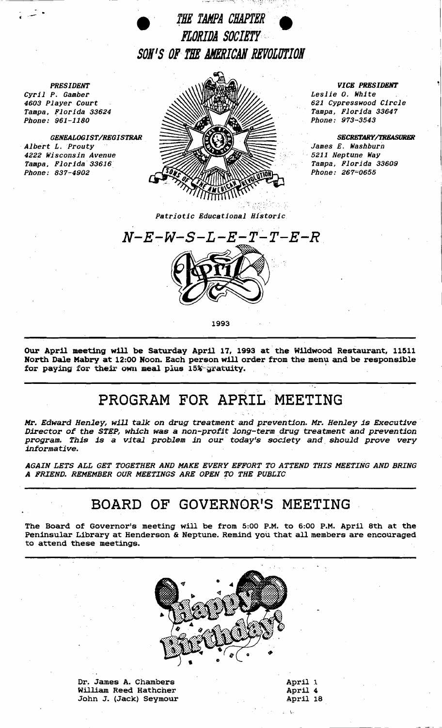

*PRESIDENT Cyril P. Gamber 4603 Player Court Tampa, Florida 33624 Phone: 961-1180* 

*GENEALOGIST/REGISTRAR . Albert L.Prouty 4222 Wisconsin Avenue Tampa, Florida·* 33616. *Phone: 837-4902* 



*VICE PRESIDENT* 

*Leslie O. White 621 Cypresswood Circle Tampa, Florida 33647 Phone: 973-3543* 

*SECRETARY/TREASURER . James E. Washburn* 

•. 5211 *Neptune Way Tampa, Florida 33609 Phone: 267=065·5* 

extrictic Educational Historic **Patricia** 



1993

Our April meeting will be Saturday April 17, 1993 at the Wildwood Restaurant, 11511 North Dale Mabry at 12:00 Noon. Each person will order from the menu and be responsible for paying for their own meal plus 15% gratuity.

## PROGRAM FOR APRIL MEETING

Mr. Edward Henley, will talk on drug treatment and prevention. Mr. Henley is Executive Director of the STEP, which was a non-profit long-term drug treatment and prevention program. This is a vital problem in our today's society and should prove very informative.

AGAIN LETS ALL GET TOGETHER AND MAKE EVERY EFFORT TO ATTEND THIS MEETING AND BRING A FRIEND. REMEMBER OUR MEETINGS ARE OPEN TO THE PUBLIC

## BOARD OF GOVERNOR'S MEETING

The Board of Governor's meeting will be from 5:00 P.M. to 6:00 P.M. April 8th at the Peninsular Library at Henderson & Neptune. Remind you that all members are encouraged to attend these meetings.



Dr. James A. Chambers William Reed Hathcher John J. (Jack) Seymour

| April 1  |  |
|----------|--|
| April 4  |  |
| April 18 |  |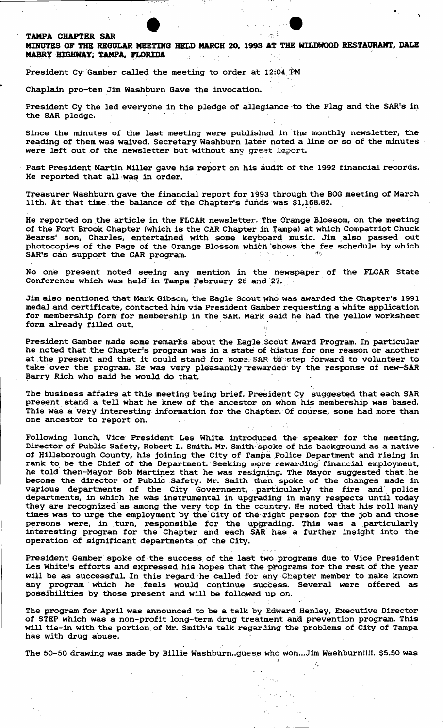## TAMPA CHAPTER SAR

MINUTES OF THE REGuLAR MEETING HELD MARCH 20. 1993 AT THE WILDWOOD RESTAURANT, DALE MABRY HIGHWAY, TAMPA, FLORIDA

President Cy Gamber called the meeting to order at 12:04 PM

Chaplain pro-tem Jim Washburn Gave the invocation.

President Cy the led everyone in the pledge of allegiance to the Flag and the SAR's in the SAR pledge.

Since the minutes of the last meeting were published in the monthly newsletter, the reading of them was waived. Secretary Washburn later noted a line or so of the minutes were left out of the newsletter but without any great import.

Past President Martin Miller gave his report on his audit of the 1992 financial records. He reported that all was in order.

Treasurer Washburn gave the financial report for 1993 through the BOG meeting of March lith. At that time the balance of the Chapter's funds was \$1,168.82.

He reported on the article in the FLCAR newsletter. The Orange Blossom, on the meeting of the Fort Brook Chapter (which is the CAR Chapter in Tampa) at which Compatriot Chuck Bearss' son, Charles, entertained with some keyboard music. Jim also passed out photocopies of the Page. of the Orange Blossom which shows the fee schedule by which SAR's can support the CAR program.

No one present noted seeing any mention in the newspaper of the FLCAR State Conference which was held in Tampa February 26 and 27.

Jim also mentioned that Mark Gibson, the Eagle Scout who was awarded the Chapter's 1991 medal and certificate, contacted him via President Gamber requesting a white application for membership form for membership in the SAR. Mark said' he had the yellow worksheet form already filled out.

President Gamber made some remarks about the Eagle Scout Award Program. In particular he noted that the Chapter's program was in a state of hiatus for one reason or another at the present and that it could stand for some. SAR to step forward to volunteer to take over the program. He was very pleasantly rewarded by the response of new-SAR Barry Rich who said he would do that.

The business affairs at this meeting being brief, President Cy suggested that each SAR present stand a tell what he knew of the ancestor on whom his membership was based. This was a very interesting information for the Chapter. Of course, some had more than one ancestor to report on.

Following lunch, Vice President Les White introduced the speaker for the meeting, Director of Public Safety, Robert L. Smith. Mr. Smith spoke of his background as a native of Hillsborough County, his joining the City of Tampa Police Department and rising in rank to be the Chief of the Department. Seeking more rewarding financial employment, he told then-Mayor Bob Martinez that he was resigning. The Mayor suggested that he become the director of Public Safety. Mr. Smith then Spoke of the changes made in various departments of the City Government, particularly the fire and police departments, in which' he was instrumental in upgrading in many respects until today they are recognized as among the very top in the country. He noted that his roll many times was to urge the employment by the City of the right person for the job and those persons were, in turn, responsible for the upgrading. This was a particularly interesting program for the Chapter and each SAR has' a further insight into the operation of significant departments of the City.

President Gamber spoke of the success of the last two programs due to Vice President Les White's efforts and expressed his hopes that the programs for the rest of the year will be as successful. In this regard' he called for any Chapter member to make known any program which he feels would continue success. Several were offered as possibilities by those present and will be followed up on.

The program for April was announced to be a talk by Edward Henley, Executive Director of STEP which was a non-profit long-term drug treatment and prevention program. This will tie-in with the portion of Mr. Smith's talk regarding the problems of City of Tampa has with drug abuse.

, "The contract of the contract of the contract of the contract of the contract of the contract of The 50-50 drawing was made by Billie Washburn..guess who won...Jim Washburn!!!!. \$5.50 was